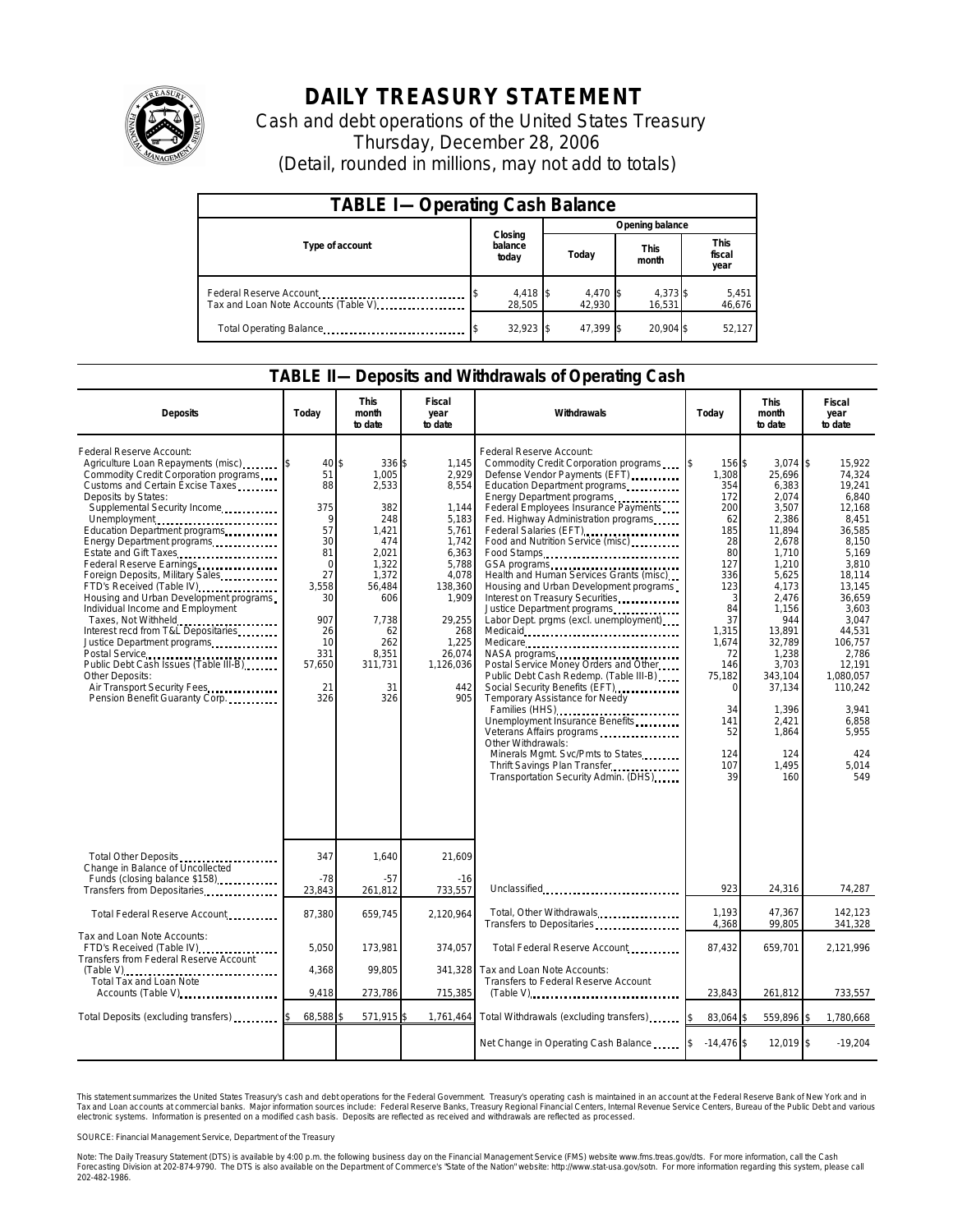

## **DAILY TREASURY STATEMENT**

Cash and debt operations of the United States Treasury Thursday, December 28, 2006 (Detail, rounded in millions, may not add to totals)

| <b>TABLE I-Operating Cash Balance</b> |                             |                    |                      |                               |  |  |  |
|---------------------------------------|-----------------------------|--------------------|----------------------|-------------------------------|--|--|--|
|                                       |                             | Opening balance    |                      |                               |  |  |  |
| Type of account                       | Closing<br>balance<br>today | Today              | <b>This</b><br>month | <b>This</b><br>fiscal<br>year |  |  |  |
| Tax and Loan Note Accounts (Table V)  | $4,418$ \$<br>28.505        | 4,470 \$<br>42.930 | 4,373 \$<br>16.531   | 5,451<br>46,676               |  |  |  |
| Total Operating Balance               | $32,923$ \$                 | 47.399 \$          | 20.904 \$            | 52,127                        |  |  |  |

## **TABLE II—Deposits and Withdrawals of Operating Cash**

| <b>Deposits</b>                                                                                                                                                                                                                                                                                                                                                                                                                                                                                                                                                                                                                                                                                                                   | Today                                                                                                                          | <b>This</b><br>month<br>to date                                                                                                                                 | Fiscal<br>year<br>to date                                                                                                                                                 | Withdrawals                                                                                                                                                                                                                                                                                                                                                                                                                                                                                                                                                                                                                                                                                                                                                                                                                                                                                                                                | Today                                                                                                                                                                                           | <b>This</b><br>month<br>to date                                                                                                                                                                                                                       | Fiscal<br>year<br>to date                                                                                                                                                                                                                                     |
|-----------------------------------------------------------------------------------------------------------------------------------------------------------------------------------------------------------------------------------------------------------------------------------------------------------------------------------------------------------------------------------------------------------------------------------------------------------------------------------------------------------------------------------------------------------------------------------------------------------------------------------------------------------------------------------------------------------------------------------|--------------------------------------------------------------------------------------------------------------------------------|-----------------------------------------------------------------------------------------------------------------------------------------------------------------|---------------------------------------------------------------------------------------------------------------------------------------------------------------------------|--------------------------------------------------------------------------------------------------------------------------------------------------------------------------------------------------------------------------------------------------------------------------------------------------------------------------------------------------------------------------------------------------------------------------------------------------------------------------------------------------------------------------------------------------------------------------------------------------------------------------------------------------------------------------------------------------------------------------------------------------------------------------------------------------------------------------------------------------------------------------------------------------------------------------------------------|-------------------------------------------------------------------------------------------------------------------------------------------------------------------------------------------------|-------------------------------------------------------------------------------------------------------------------------------------------------------------------------------------------------------------------------------------------------------|---------------------------------------------------------------------------------------------------------------------------------------------------------------------------------------------------------------------------------------------------------------|
| Federal Reserve Account:<br>Agriculture Loan Repayments (misc)<br>Commodity Credit Corporation programs<br>Customs and Certain Excise Taxes<br>Deposits by States:<br>Supplemental Security Income<br>Unemployment<br>Education Department programs<br>Energy Department programs<br>Estate and Gift Taxes<br>Federal Reserve Earnings<br>Foreign Deposits, Military Sales<br>FTD's Received (Table IV)<br>Housing and Urban Development programs<br>Individual Income and Employment<br>Taxes, Not Withheld<br>Interest recd from T&L Depositaries<br>Justice Department programs<br>Postal Service<br>Public Debt Cash Issues (Table III-B)<br>Other Deposits:<br>Air Transport Security Fees<br>Pension Benefit Guaranty Corp. | 40<br>51<br>88<br>375<br>9<br>57<br>30<br>81<br>$\Omega$<br>27<br>3,558<br>30<br>907<br>26<br>10<br>331<br>57,650<br>21<br>326 | \$<br>336 \$<br>1.005<br>2,533<br>382<br>248<br>1,421<br>474<br>2,021<br>1.322<br>1,372<br>56,484<br>606<br>7,738<br>62<br>262<br>8,351<br>311,731<br>31<br>326 | 1,145<br>2,929<br>8,554<br>1,144<br>5,183<br>5,761<br>1,742<br>6,363<br>5.788<br>4,078<br>138,360<br>1,909<br>29,255<br>268<br>1,225<br>26,074<br>1,126,036<br>442<br>905 | Federal Reserve Account:<br>Commodity Credit Corporation programs<br>Defense Vendor Payments (EFT)<br>Education Department programs<br>Energy Department programs<br>Federal Employees Insurance Payments<br>Fed. Highway Administration programs<br>Federal Salaries (EFT)<br>Food and Nutrition Service (misc)<br>Food Stamps<br>Health and Human Services Grants (misc)<br>Housing and Urban Development programs<br>Interest on Treasury Securities<br>Justice Department programs<br>Labor Dept. prgms (excl. unemployment).<br>Medicare<br>NASA programs<br>Postal Service Money Orders and Other<br>Public Debt Cash Redemp. (Table III-B)<br>Social Security Benefits (EFT)<br>Temporary Assistance for Needy<br>Families (HHS)<br>Unemployment Insurance Benefits<br>Veterans Affairs programs<br>Other Withdrawals:<br>Minerals Mgmt. Svc/Pmts to States<br>Thrift Savings Plan Transfer<br>Transportation Security Admin. (DHS) | l\$<br>156 \$<br>1,308<br>354<br>172<br>200<br>62<br>185<br>28<br>80<br>127<br>336<br>123<br>3<br>84<br>37<br>1,315<br>1,674<br>72<br>146<br>75,182<br>0<br>34<br>141<br>52<br>124<br>107<br>39 | $3,074$ \$<br>25,696<br>6,383<br>2,074<br>3,507<br>2,386<br>11,894<br>2,678<br>1,710<br>1,210<br>5,625<br>4,173<br>2,476<br>1,156<br>944<br>13,891<br>32,789<br>1,238<br>3,703<br>343,104<br>37,134<br>1,396<br>2,421<br>1,864<br>124<br>1,495<br>160 | 15,922<br>74,324<br>19,241<br>6.840<br>12,168<br>8,451<br>36,585<br>8,150<br>5.169<br>3,810<br>18,114<br>13,145<br>36,659<br>3,603<br>3,047<br>44,531<br>106,757<br>2,786<br>12,191<br>1,080,057<br>110,242<br>3,941<br>6,858<br>5,955<br>424<br>5,014<br>549 |
| Total Other Deposits                                                                                                                                                                                                                                                                                                                                                                                                                                                                                                                                                                                                                                                                                                              | 347                                                                                                                            | 1,640                                                                                                                                                           | 21,609                                                                                                                                                                    |                                                                                                                                                                                                                                                                                                                                                                                                                                                                                                                                                                                                                                                                                                                                                                                                                                                                                                                                            |                                                                                                                                                                                                 |                                                                                                                                                                                                                                                       |                                                                                                                                                                                                                                                               |
| Change in Balance of Uncollected<br>Funds (closing balance \$158)<br>Transfers from Depositaries                                                                                                                                                                                                                                                                                                                                                                                                                                                                                                                                                                                                                                  | $-78$<br>23,843                                                                                                                | $-57$<br>261,812                                                                                                                                                | $-16$<br>733,557                                                                                                                                                          | Unclassified                                                                                                                                                                                                                                                                                                                                                                                                                                                                                                                                                                                                                                                                                                                                                                                                                                                                                                                               | 923                                                                                                                                                                                             | 24,316                                                                                                                                                                                                                                                | 74,287                                                                                                                                                                                                                                                        |
| Total Federal Reserve Account                                                                                                                                                                                                                                                                                                                                                                                                                                                                                                                                                                                                                                                                                                     | 87,380                                                                                                                         | 659,745                                                                                                                                                         | 2,120,964                                                                                                                                                                 | Total, Other Withdrawals<br>Transfers to Depositaries                                                                                                                                                                                                                                                                                                                                                                                                                                                                                                                                                                                                                                                                                                                                                                                                                                                                                      | 1.193<br>4,368                                                                                                                                                                                  | 47,367<br>99,805                                                                                                                                                                                                                                      | 142,123<br>341,328                                                                                                                                                                                                                                            |
| Tax and Loan Note Accounts:<br>FTD's Received (Table IV)<br><b>Transfers from Federal Reserve Account</b>                                                                                                                                                                                                                                                                                                                                                                                                                                                                                                                                                                                                                         | 5.050                                                                                                                          | 173.981                                                                                                                                                         | 374.057                                                                                                                                                                   | Total Federal Reserve Account                                                                                                                                                                                                                                                                                                                                                                                                                                                                                                                                                                                                                                                                                                                                                                                                                                                                                                              | 87,432                                                                                                                                                                                          | 659.701                                                                                                                                                                                                                                               | 2,121,996                                                                                                                                                                                                                                                     |
| (Table V)<br>Total Tax and Loan Note<br>Accounts (Table V)                                                                                                                                                                                                                                                                                                                                                                                                                                                                                                                                                                                                                                                                        | 4,368<br>9,418                                                                                                                 | 99,805<br>273,786                                                                                                                                               | 341,328<br>715,385                                                                                                                                                        | Tax and Loan Note Accounts:<br>Transfers to Federal Reserve Account<br>$(Table V)$                                                                                                                                                                                                                                                                                                                                                                                                                                                                                                                                                                                                                                                                                                                                                                                                                                                         | 23,843                                                                                                                                                                                          | 261,812                                                                                                                                                                                                                                               | 733,557                                                                                                                                                                                                                                                       |
| Total Deposits (excluding transfers)                                                                                                                                                                                                                                                                                                                                                                                                                                                                                                                                                                                                                                                                                              | 68,588                                                                                                                         | 571,915 \$                                                                                                                                                      |                                                                                                                                                                           | 1,761,464 Total Withdrawals (excluding transfers)                                                                                                                                                                                                                                                                                                                                                                                                                                                                                                                                                                                                                                                                                                                                                                                                                                                                                          | 83,064 \$                                                                                                                                                                                       | 559,896                                                                                                                                                                                                                                               | 1,780,668                                                                                                                                                                                                                                                     |
|                                                                                                                                                                                                                                                                                                                                                                                                                                                                                                                                                                                                                                                                                                                                   |                                                                                                                                |                                                                                                                                                                 |                                                                                                                                                                           | Net Change in Operating Cash Balance                                                                                                                                                                                                                                                                                                                                                                                                                                                                                                                                                                                                                                                                                                                                                                                                                                                                                                       | $-14,476$ \$                                                                                                                                                                                    | 12,019 \$                                                                                                                                                                                                                                             | $-19,204$                                                                                                                                                                                                                                                     |

This statement summarizes the United States Treasury's cash and debt operations for the Federal Government.<br>Tax and Loan accounts at commercial banks. Major information sources include: Federal Reserve Banks, Trea<br>electr narizes the United States Treasury's cash and debt operations for the Federal Government. Treasury's operating cash is maintained in an account at the Federal Reserve Bank of New York and in<br>nts at commercial banks. Major

SOURCE: Financial Management Service, Department of the Treasury

Note: The Daily Treasury Statement (DTS) is available by 4:00 p.m. the following business day on the Financial Management Service (FMS) website www.fms.treas.gov/dts. For more information, call the Cash<br>Forecasting Divisio 202-482-1986.